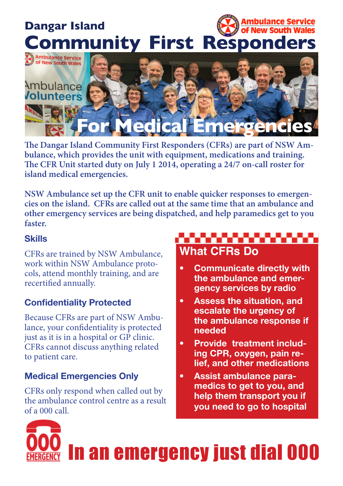## nbulance Service **Dangar Island** of New South Wales **Community First Responders**



**!e Dangar Island Community First Responders (CFRs) are part of NSW Ambulance, which provides the unit with equipment, medications and training. !e CFR Unit started duty on July 1 2014, operating a 24/7 on-call roster for island medical emergencies.** 

**NSW Ambulance set up the CFR unit to enable quicker responses to emergencies on the island. CFRs are called out at the same time that an ambulance and other emergency services are being dispatched, and help paramedics get to you faster.** 

#### **Skills**

CFRs are trained by NSW Ambulance, work within NSW Ambulance protocols, attend monthly training, and are recertified annually.

## **Confidentiality Protected**

Because CFRs are part of NSW Ambulance, your confidentiality is protected just as it is in a hospital or GP clinic. CFRs cannot discuss anything related to patient care.

## **Medical Emergencies Only**

CFRs only respond when called out by the ambulance control centre as a result of a 000 call.

## **What CFRs Do**

- **Communicate directly with** the ambulance and emer**gency services by radio**
- **Assess the situation, and** escalate the urgency of the ambulance response if **Underland**
- **•** Provide treatment including CPR, oxygen, pain re**lief.** and other medications
- Assist ambulance paramedics to get to you, and help them transport you if **you need to go to hospital**

# In an emergency just dial 000